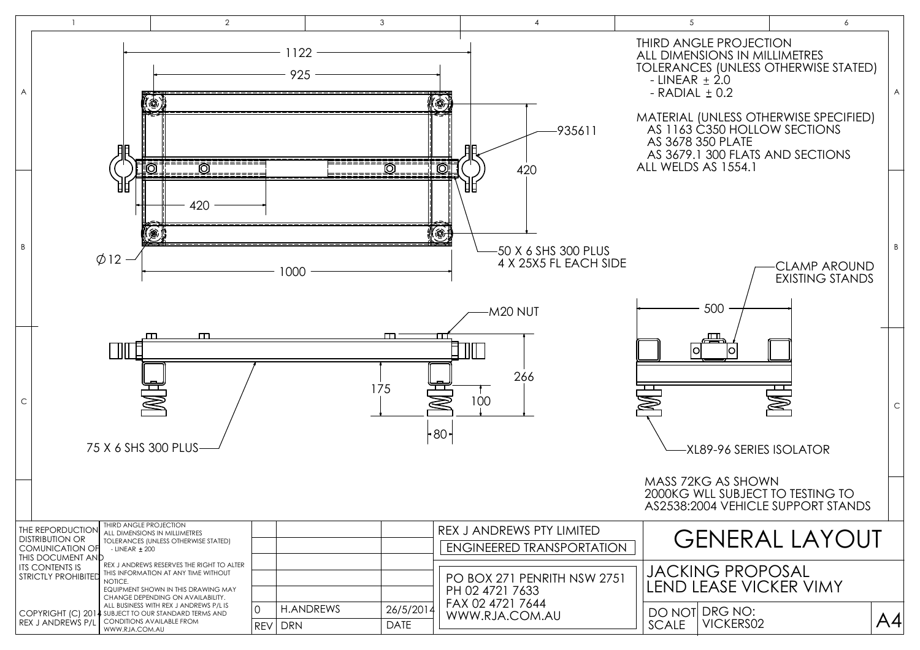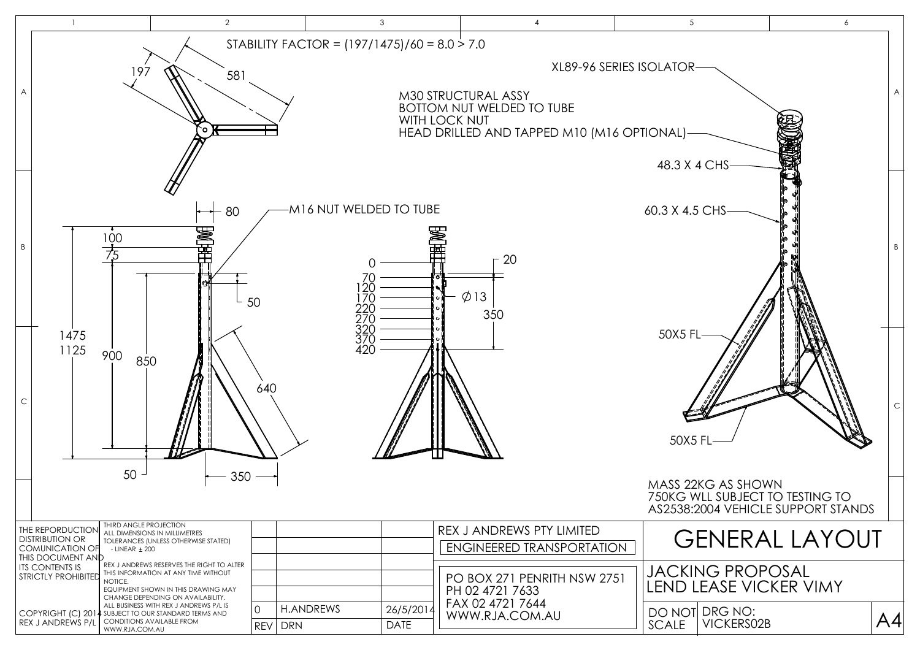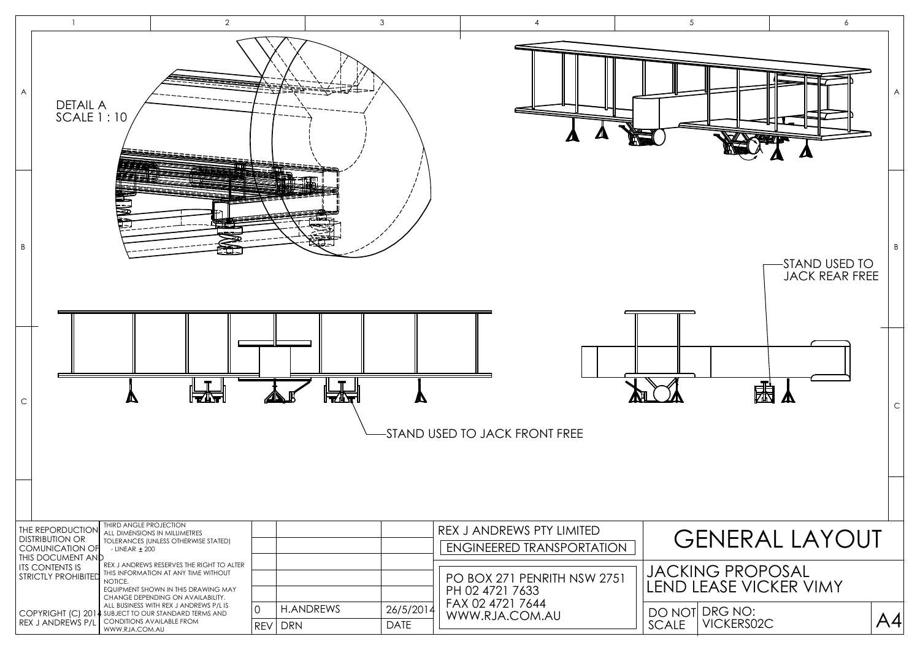